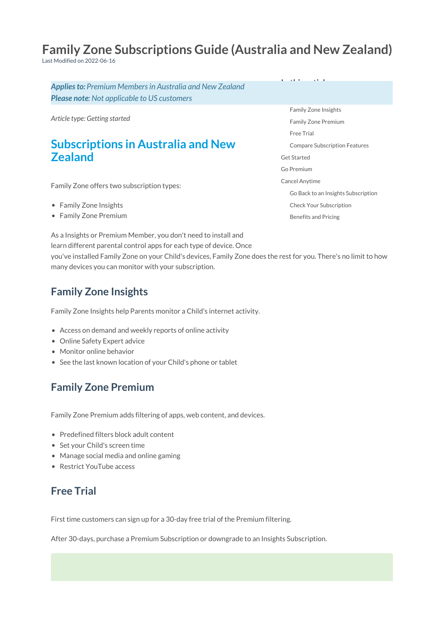# **Family Zone Subscriptions Guide (Australia and New Zealand)**

Last Modified on 2022-06-16

*Applies to: Premium Members in Australia and New Zealand Please note: Not applicable to US customers*

*Article type: Getting started*

# **Subscriptions in Australia and New Zealand**

Family Zone offers two subscription types:

- Family Zone Insights
- Family Zone Premium

Family Zone [Insights](http://docs.familyzone.com/#family-zone-insights) Family Zone [Premium](http://docs.familyzone.com/#family-zone-premium) [Free](http://docs.familyzone.com/#free-trial) Trial Compare [Subscription](http://docs.familyzone.com/#compare-subscription-features) Features Get [Started](http://docs.familyzone.com/#get-started) Go [Premium](http://docs.familyzone.com/#go-premium) Cancel [Anytime](http://docs.familyzone.com/#cancel-anytime) Go Back to an Insights [Subscription](http://docs.familyzone.com/#go-back-to-an-insights-subscription) Check Your [Subscription](http://docs.familyzone.com/#check-your-subscription) [Benefits](http://docs.familyzone.com/#benefits-and-pricing) and Pricing

**In this article**

As a Insights or Premium Member, you don't need to install and learn different parental control apps for each type of device. Once you've installed Family Zone on your Child's devices, Family Zone does the rest for you. There's no limit to how many devices you can monitor with your subscription.

### **Family Zone Insights**

Family Zone Insights help Parents monitor a Child's internet activity.

- Access on demand and weekly reports of online activity
- Online Safety Expert advice
- Monitor online behavior
- See the last known location of your Child's phone or tablet

# **Family Zone Premium**

Family Zone Premium adds filtering of apps, web content, and devices.

- Predefined filters block adult content
- Set your Child's screen time
- Manage social media and online gaming
- Restrict YouTube access

### **Free Trial**

First time customers can sign up for a 30-day free trial of the Premium filtering.

After 30-days, purchase a Premium Subscription or downgrade to an Insights Subscription.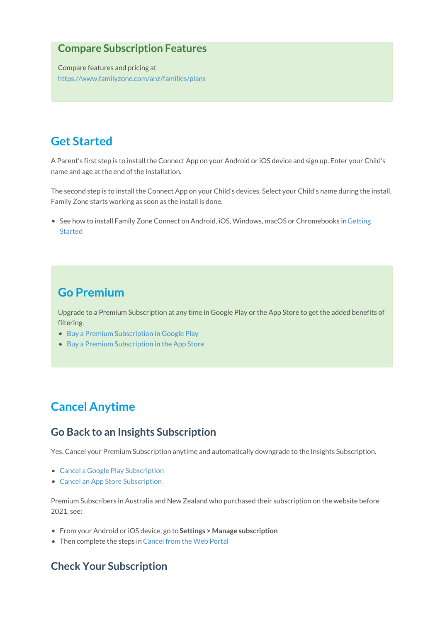#### **Compare Subscription Features**

Compare features and pricing at <https://www.familyzone.com/anz/families/plans>

## **Get Started**

A Parent's first step is to install the Connect App on your Android or iOS device and sign up. Enter your Child's name and age at the end of the installation.

The second step is to install the Connect App on your Child's devices. Select your Child's name during the install. Family Zone starts working as soon as the install is done.

• See how to install Family Zone Connect on Android, iOS, Windows, macOS or [Chromebooks](http://docs.familyzone.com/help/setup) in Getting Started

### **Go Premium**

Upgrade to a Premium Subscription at any time in Google Play or the App Store to get the added benefits of filtering.

- Buy a Premium [Subscription](http://docs.familyzone.com/help/google-play-subscriptions) in Google Play
- Buy a Premium [Subscription](http://docs.familyzone.com/help/app-store-subscriptions) in the App Store

# **Cancel Anytime**

#### **Go Back to an Insights Subscription**

Yes. Cancel your Premium Subscription anytime and automatically downgrade to the Insights Subscription.

- Cancel a Google Play [Subscription](http://docs.familyzone.com/help/google-play-subscriptions)
- Cancel an App Store [Subscription](http://docs.familyzone.com/help/app-store-subscriptions)

Premium Subscribers in Australia and New Zealand who purchased their subscription on the website before 2021, see:

- From your Android or iOS device, go to**Settings > Manage subscription**
- Then complete the steps in [Cancel](http://docs.familyzone.com/help/how-to-cancel-your-subscription) from the Web Portal

#### **Check Your Subscription**